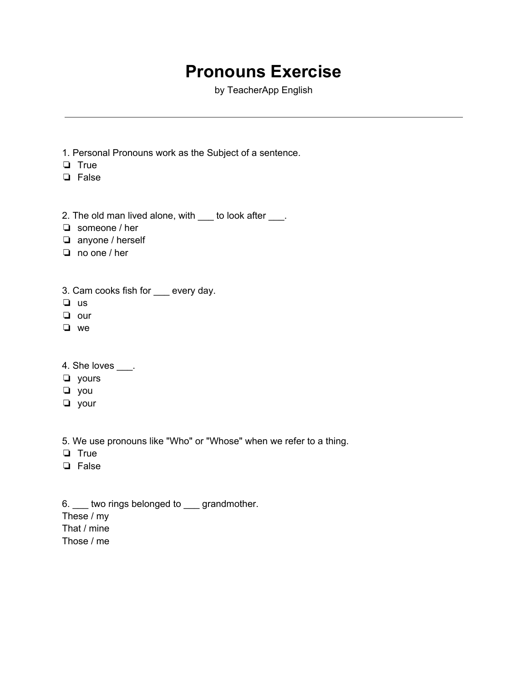## **Pronouns Exercise**

by TeacherApp English

- 1. Personal Pronouns work as the Subject of a sentence.
- ❏ True
- ❏ False
- 2. The old man lived alone, with \_\_\_ to look after \_\_\_.
- ❏ someone / her
- ❏ anyone / herself
- ❏ no one / her
- 3. Cam cooks fish for \_\_\_ every day.
- ❏ us
- ❏ our
- ❏ we
- 4. She loves \_\_\_\_.
- ❏ yours
- ❏ you
- ❏ your

5. We use pronouns like "Who" or "Whose" when we refer to a thing.

- ❏ True
- ❏ False

6. \_\_\_ two rings belonged to \_\_\_ grandmother. These / my That / mine

Those / me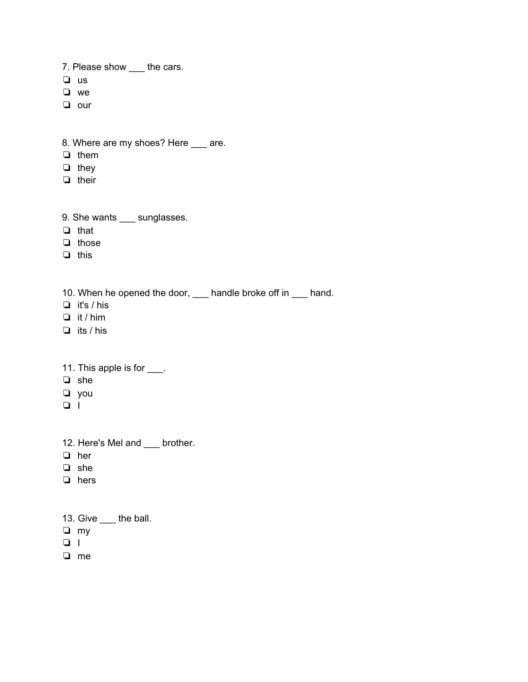7. Please show \_\_\_ the cars.

- ❏ us
- ❏ we
- ❏ our
- 8. Where are my shoes? Here \_\_\_ are.
- ❏ them
- ❏ they
- ❏ their
- 9. She wants \_\_\_ sunglasses.
- ❏ that
- ❏ those
- ❏ this
- 10. When he opened the door, \_\_\_ handle broke off in \_\_\_ hand.
- ❏ it's / his
- ❏ it / him
- ❏ its / his
- 11. This apple is for \_\_\_\_.
- ❏ she
- ❏ you
- ❏ I
- 12. Here's Mel and \_\_\_ brother.
- ❏ her
- ❏ she
- ❏ hers
- 13. Give \_\_\_ the ball.
- ❏ my
- ❏ I
- ❏ me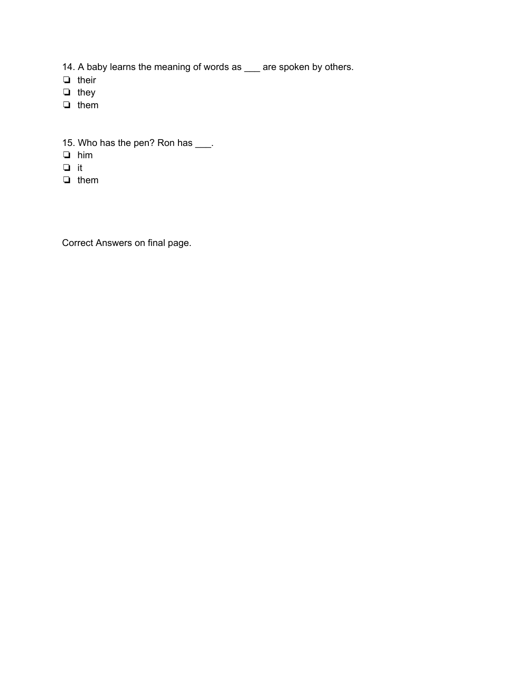- 14. A baby learns the meaning of words as \_\_\_ are spoken by others.
- ❏ their
- ❏ they
- ❏ them
- 15. Who has the pen? Ron has \_\_\_\_.
- ❏ him
- ❏ it
- ❏ them

Correct Answers on final page.